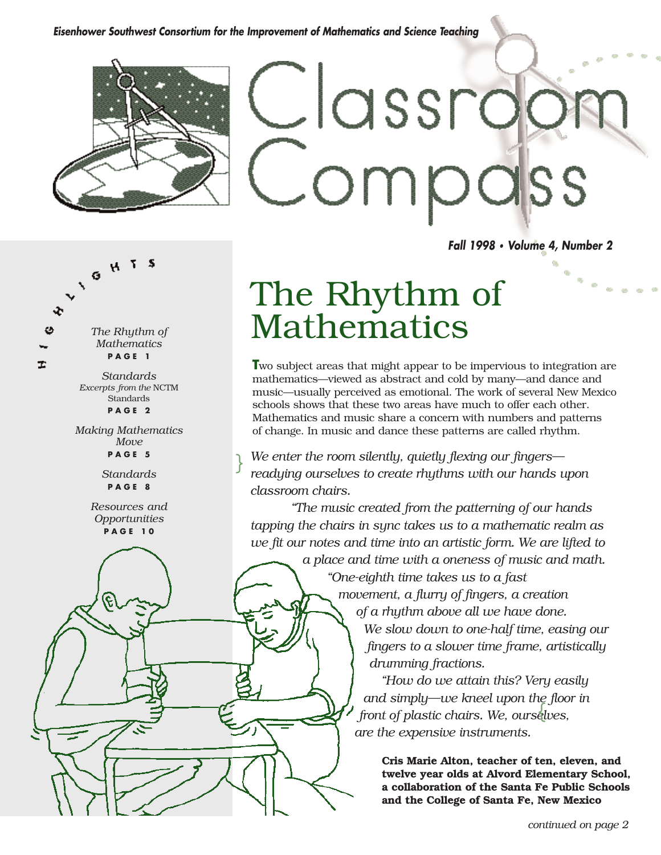

*The Rhythm of Mathematics* **PAGE 1** *Standards Excerpts from the* NCTM Standards **PAGE 2** *Making Mathematics Move* **PAGE 5** *Standards* **PAGE 8** *Resources and Opportunities* **PAGE 10**

τ

S T H  $\bullet$ 

# Classra ompass

**Fall 1998 • Volume 4, Number 2**

### The Rhythm of Mathematics

**T**wo subject areas that might appear to be impervious to integration are mathematics—viewed as abstract and cold by many—and dance and music—usually perceived as emotional. The work of several New Mexico schools shows that these two areas have much to offer each other. Mathematics and music share a concern with numbers and patterns of change. In music and dance these patterns are called rhythm.

*We enter the room silently, quietly flexing our fingers readying ourselves to create rhythms with our hands upon classroom chairs.* }

*"The music created from the patterning of our hands tapping the chairs in sync takes us to a mathematic realm as we fit our notes and time into an artistic form. We are lifted to* 

*a place and time with a oneness of music and math.*

*"One-eighth time takes us to a fast movement, a flurry of fingers, a creation of a rhythm above all we have done. We slow down to one-half time, easing our fingers to a slower time frame, artistically drumming fractions.* 

*"How do we attain this? Very easily and simply—we kneel upon the floor in front of plastic chairs. We, ourselves,*  } *are the expensive instruments.*

> **Cris Marie Alton, teacher of ten, eleven, and twelve year olds at Alvord Elementary School, a collaboration of the Santa Fe Public Schools and the College of Santa Fe, New Mexico**

> > *continued on page 2*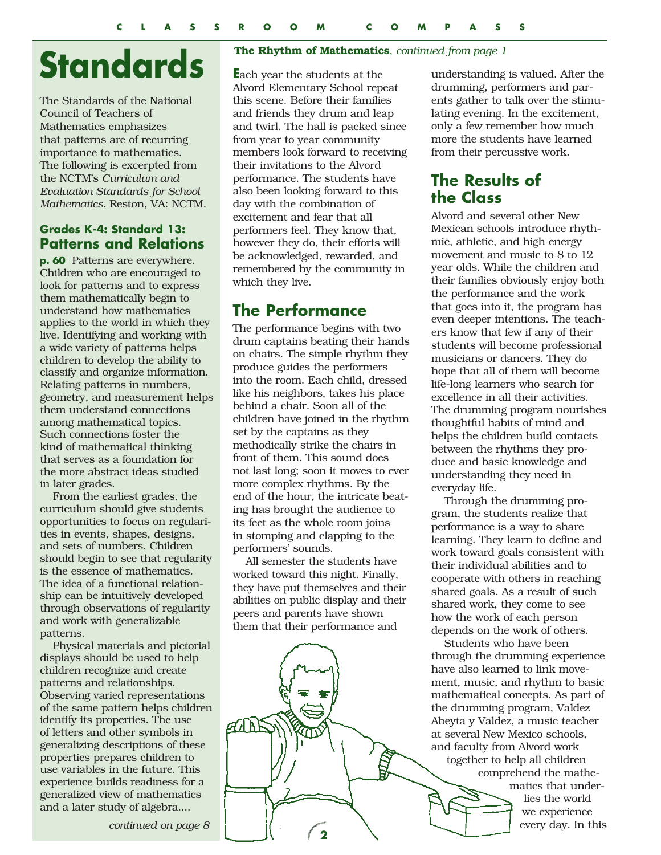### **Standards**

The Standards of the National Council of Teachers of Mathematics emphasizes that patterns are of recurring importance to mathematics. The following is excerpted from the NCTM's *Curriculum and Evaluation Standards for School Mathematics.* Reston, VA: NCTM.

#### **Grades K-4: Standard 13: Patterns and Relations**

**p. 60** Patterns are everywhere. Children who are encouraged to look for patterns and to express them mathematically begin to understand how mathematics applies to the world in which they live. Identifying and working with a wide variety of patterns helps children to develop the ability to classify and organize information. Relating patterns in numbers, geometry, and measurement helps them understand connections among mathematical topics. Such connections foster the kind of mathematical thinking that serves as a foundation for the more abstract ideas studied in later grades.

From the earliest grades, the curriculum should give students opportunities to focus on regularities in events, shapes, designs, and sets of numbers. Children should begin to see that regularity is the essence of mathematics. The idea of a functional relationship can be intuitively developed through observations of regularity and work with generalizable patterns.

Physical materials and pictorial displays should be used to help children recognize and create patterns and relationships. Observing varied representations of the same pattern helps children identify its properties. The use of letters and other symbols in generalizing descriptions of these properties prepares children to use variables in the future. This experience builds readiness for a generalized view of mathematics and a later study of algebra....

#### **The Rhythm of Mathematics**, *continued from page 1*

**E**ach year the students at the Alvord Elementary School repeat this scene. Before their families and friends they drum and leap and twirl. The hall is packed since from year to year community members look forward to receiving their invitations to the Alvord performance. The students have also been looking forward to this day with the combination of excitement and fear that all performers feel. They know that, however they do, their efforts will be acknowledged, rewarded, and remembered by the community in which they live.

#### **The Performance**

The performance begins with two drum captains beating their hands on chairs. The simple rhythm they produce guides the performers into the room. Each child, dressed like his neighbors, takes his place behind a chair. Soon all of the children have joined in the rhythm set by the captains as they methodically strike the chairs in front of them. This sound does not last long; soon it moves to ever more complex rhythms. By the end of the hour, the intricate beating has brought the audience to its feet as the whole room joins in stomping and clapping to the performers' sounds.

All semester the students have worked toward this night. Finally, they have put themselves and their abilities on public display and their peers and parents have shown them that their performance and

ΉA **2** understanding is valued. After the drumming, performers and parents gather to talk over the stimulating evening. In the excitement, only a few remember how much more the students have learned from their percussive work.

#### **The Results of the Class**

Alvord and several other New Mexican schools introduce rhythmic, athletic, and high energy movement and music to 8 to 12 year olds. While the children and their families obviously enjoy both the performance and the work that goes into it, the program has even deeper intentions. The teachers know that few if any of their students will become professional musicians or dancers. They do hope that all of them will become life-long learners who search for excellence in all their activities. The drumming program nourishes thoughtful habits of mind and helps the children build contacts between the rhythms they produce and basic knowledge and understanding they need in everyday life.

Through the drumming program, the students realize that performance is a way to share learning. They learn to define and work toward goals consistent with their individual abilities and to cooperate with others in reaching shared goals. As a result of such shared work, they come to see how the work of each person depends on the work of others.

Students who have been through the drumming experience have also learned to link movement, music, and rhythm to basic mathematical concepts. As part of the drumming program, Valdez Abeyta y Valdez, a music teacher at several New Mexico schools, and faculty from Alvord work together to help all children

> comprehend the mathematics that under-

lies the world we experience every day. In this

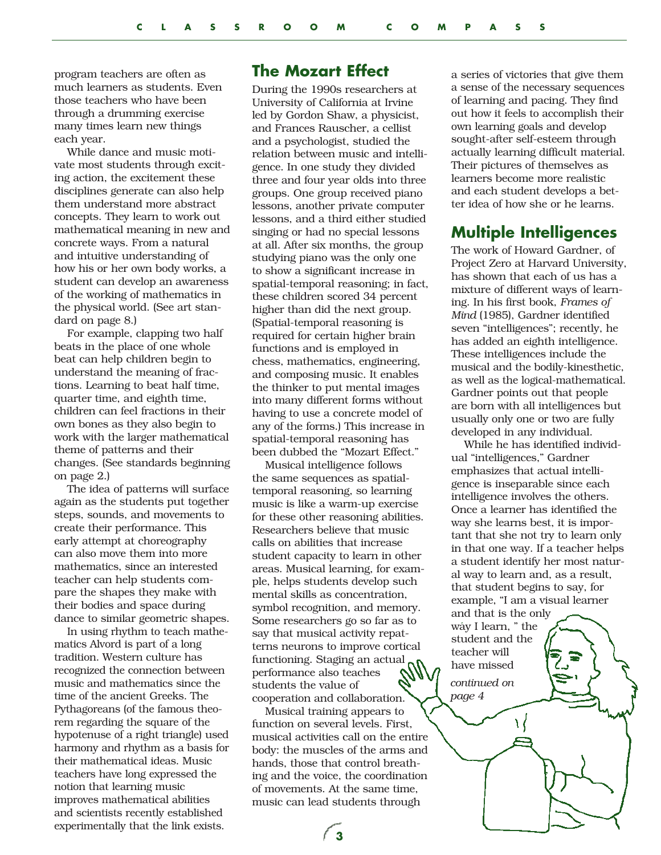program teachers are often as much learners as students. Even those teachers who have been through a drumming exercise many times learn new things each year.

While dance and music motivate most students through exciting action, the excitement these disciplines generate can also help them understand more abstract concepts. They learn to work out mathematical meaning in new and concrete ways. From a natural and intuitive understanding of how his or her own body works, a student can develop an awareness of the working of mathematics in the physical world. (See art standard on page 8.)

For example, clapping two half beats in the place of one whole beat can help children begin to understand the meaning of fractions. Learning to beat half time, quarter time, and eighth time, children can feel fractions in their own bones as they also begin to work with the larger mathematical theme of patterns and their changes. (See standards beginning on page 2.)

The idea of patterns will surface again as the students put together steps, sounds, and movements to create their performance. This early attempt at choreography can also move them into more mathematics, since an interested teacher can help students compare the shapes they make with their bodies and space during dance to similar geometric shapes.

In using rhythm to teach mathematics Alvord is part of a long tradition. Western culture has recognized the connection between music and mathematics since the time of the ancient Greeks. The Pythagoreans (of the famous theorem regarding the square of the hypotenuse of a right triangle) used harmony and rhythm as a basis for their mathematical ideas. Music teachers have long expressed the notion that learning music improves mathematical abilities and scientists recently established experimentally that the link exists.

#### **The Mozart Effect**

During the 1990s researchers at University of California at Irvine led by Gordon Shaw, a physicist, and Frances Rauscher, a cellist and a psychologist, studied the relation between music and intelligence. In one study they divided three and four year olds into three groups. One group received piano lessons, another private computer lessons, and a third either studied singing or had no special lessons at all. After six months, the group studying piano was the only one to show a significant increase in spatial-temporal reasoning; in fact, these children scored 34 percent higher than did the next group. (Spatial-temporal reasoning is required for certain higher brain functions and is employed in chess, mathematics, engineering, and composing music. It enables the thinker to put mental images into many different forms without having to use a concrete model of any of the forms.) This increase in spatial-temporal reasoning has been dubbed the "Mozart Effect."

Musical intelligence follows the same sequences as spatialtemporal reasoning, so learning music is like a warm-up exercise for these other reasoning abilities. Researchers believe that music calls on abilities that increase student capacity to learn in other areas. Musical learning, for example, helps students develop such mental skills as concentration, symbol recognition, and memory. Some researchers go so far as to say that musical activity repatterns neurons to improve cortical functioning. Staging an actual performance also teaches students the value of cooperation and collaboration.

Musical training appears to function on several levels. First, musical activities call on the entire body: the muscles of the arms and hands, those that control breathing and the voice, the coordination of movements. At the same time, music can lead students through

a series of victories that give them a sense of the necessary sequences of learning and pacing. They find out how it feels to accomplish their own learning goals and develop sought-after self-esteem through actually learning difficult material. Their pictures of themselves as learners become more realistic and each student develops a better idea of how she or he learns.

#### **Multiple Intelligences**

The work of Howard Gardner, of Project Zero at Harvard University, has shown that each of us has a mixture of different ways of learning. In his first book, *Frames of Mind* (1985), Gardner identified seven "intelligences"; recently, he has added an eighth intelligence. These intelligences include the musical and the bodily-kinesthetic, as well as the logical-mathematical. Gardner points out that people are born with all intelligences but usually only one or two are fully developed in any individual.

While he has identified individual "intelligences," Gardner emphasizes that actual intelligence is inseparable since each intelligence involves the others. Once a learner has identified the way she learns best, it is important that she not try to learn only in that one way. If a teacher helps a student identify her most natural way to learn and, as a result, that student begins to say, for example, "I am a visual learner and that is the only

way I learn, " the student and the teacher will have missed

١ζ

*continued on page 4*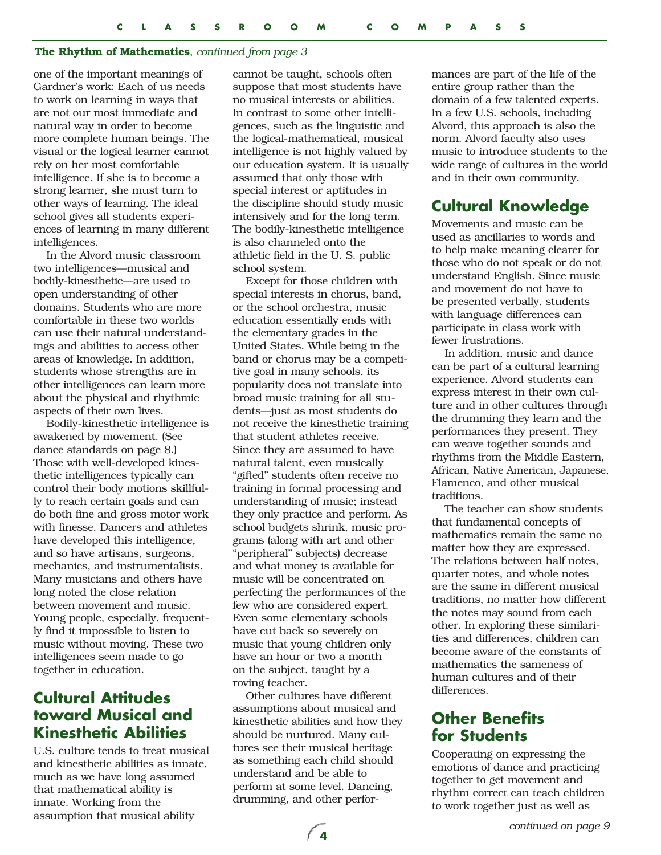| C L A S S R O O M C O M P A S S |
|---------------------------------|
|---------------------------------|

#### **The Rhythm of Mathematics**, *continued from page 3*

one of the important meanings of Gardner's work: Each of us needs to work on learning in ways that are not our most immediate and natural way in order to become more complete human beings. The visual or the logical learner cannot rely on her most comfortable intelligence. If she is to become a strong learner, she must turn to other ways of learning. The ideal school gives all students experiences of learning in many different intelligences.

In the Alvord music classroom two intelligences—musical and bodily-kinesthetic—are used to open understanding of other domains. Students who are more comfortable in these two worlds can use their natural understandings and abilities to access other areas of knowledge. In addition, students whose strengths are in other intelligences can learn more about the physical and rhythmic aspects of their own lives.

Bodily-kinesthetic intelligence is awakened by movement. (See dance standards on page 8.) Those with well-developed kinesthetic intelligences typically can control their body motions skillfully to reach certain goals and can do both fine and gross motor work with finesse. Dancers and athletes have developed this intelligence, and so have artisans, surgeons, mechanics, and instrumentalists. Many musicians and others have long noted the close relation between movement and music. Young people, especially, frequently find it impossible to listen to music without moving. These two intelligences seem made to go together in education.

#### **Cultural Attitudes toward Musical and Kinesthetic Abilities**

U.S. culture tends to treat musical and kinesthetic abilities as innate, much as we have long assumed that mathematical ability is innate. Working from the assumption that musical ability

cannot be taught, schools often suppose that most students have no musical interests or abilities. In contrast to some other intelligences, such as the linguistic and the logical-mathematical, musical intelligence is not highly valued by our education system. It is usually assumed that only those with special interest or aptitudes in the discipline should study music intensively and for the long term. The bodily-kinesthetic intelligence is also channeled onto the athletic field in the U. S. public school system.

Except for those children with special interests in chorus, band, or the school orchestra, music education essentially ends with the elementary grades in the United States. While being in the band or chorus may be a competitive goal in many schools, its popularity does not translate into broad music training for all students—just as most students do not receive the kinesthetic training that student athletes receive. Since they are assumed to have natural talent, even musically "gifted" students often receive no training in formal processing and understanding of music; instead they only practice and perform. As school budgets shrink, music programs (along with art and other "peripheral" subjects) decrease and what money is available for music will be concentrated on perfecting the performances of the few who are considered expert. Even some elementary schools have cut back so severely on music that young children only have an hour or two a month on the subject, taught by a roving teacher.

Other cultures have different assumptions about musical and kinesthetic abilities and how they should be nurtured. Many cultures see their musical heritage as something each child should understand and be able to perform at some level. Dancing, drumming, and other performances are part of the life of the entire group rather than the domain of a few talented experts. In a few U.S. schools, including Alvord, this approach is also the norm. Alvord faculty also uses music to introduce students to the wide range of cultures in the world and in their own community.

#### **Cultural Knowledge**

Movements and music can be used as ancillaries to words and to help make meaning clearer for those who do not speak or do not understand English. Since music and movement do not have to be presented verbally, students with language differences can participate in class work with fewer frustrations.

In addition, music and dance can be part of a cultural learning experience. Alvord students can express interest in their own culture and in other cultures through the drumming they learn and the performances they present. They can weave together sounds and rhythms from the Middle Eastern, African, Native American, Japanese, Flamenco, and other musical traditions.

The teacher can show students that fundamental concepts of mathematics remain the same no matter how they are expressed. The relations between half notes, quarter notes, and whole notes are the same in different musical traditions, no matter how different the notes may sound from each other. In exploring these similarities and differences, children can become aware of the constants of mathematics the sameness of human cultures and of their differences.

#### **Other Benefits for Students**

Cooperating on expressing the emotions of dance and practicing together to get movement and rhythm correct can teach children to work together just as well as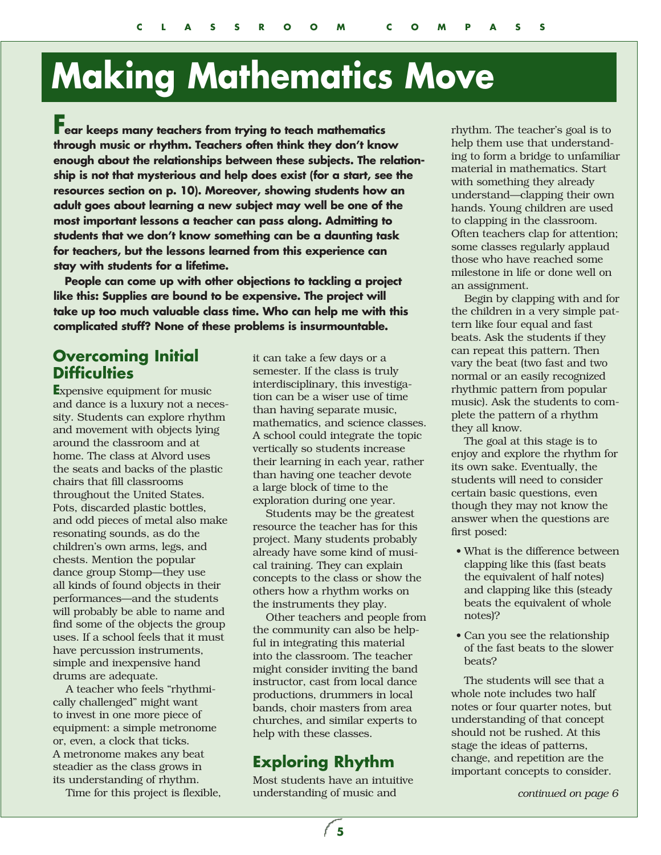## **Making Mathematics Move**

**Fear keeps many teachers from trying to teach mathematics through music or rhythm. Teachers often think they don't know enough about the relationships between these subjects. The relationship is not that mysterious and help does exist (for a start, see the resources section on p. 10). Moreover, showing students how an adult goes about learning a new subject may well be one of the most important lessons a teacher can pass along. Admitting to students that we don't know something can be a daunting task for teachers, but the lessons learned from this experience can stay with students for a lifetime.** 

**People can come up with other objections to tackling a project like this: Supplies are bound to be expensive. The project will take up too much valuable class time. Who can help me with this complicated stuff? None of these problems is insurmountable.**

#### **Overcoming Initial Difficulties**

**Expensive equipment for music** and dance is a luxury not a necessity. Students can explore rhythm and movement with objects lying around the classroom and at home. The class at Alvord uses the seats and backs of the plastic chairs that fill classrooms throughout the United States. Pots, discarded plastic bottles, and odd pieces of metal also make resonating sounds, as do the children's own arms, legs, and chests. Mention the popular dance group Stomp—they use all kinds of found objects in their performances—and the students will probably be able to name and find some of the objects the group uses. If a school feels that it must have percussion instruments, simple and inexpensive hand drums are adequate.

A teacher who feels "rhythmically challenged" might want to invest in one more piece of equipment: a simple metronome or, even, a clock that ticks. A metronome makes any beat steadier as the class grows in its understanding of rhythm.

Time for this project is flexible,

it can take a few days or a semester. If the class is truly interdisciplinary, this investigation can be a wiser use of time than having separate music, mathematics, and science classes. A school could integrate the topic vertically so students increase their learning in each year, rather than having one teacher devote a large block of time to the exploration during one year.

Students may be the greatest resource the teacher has for this project. Many students probably already have some kind of musical training. They can explain concepts to the class or show the others how a rhythm works on the instruments they play.

Other teachers and people from the community can also be helpful in integrating this material into the classroom. The teacher might consider inviting the band instructor, cast from local dance productions, drummers in local bands, choir masters from area churches, and similar experts to help with these classes.

#### **Exploring Rhythm**

Most students have an intuitive understanding of music and

rhythm. The teacher's goal is to help them use that understanding to form a bridge to unfamiliar material in mathematics. Start with something they already understand—clapping their own hands. Young children are used to clapping in the classroom. Often teachers clap for attention; some classes regularly applaud those who have reached some milestone in life or done well on an assignment.

Begin by clapping with and for the children in a very simple pattern like four equal and fast beats. Ask the students if they can repeat this pattern. Then vary the beat (two fast and two normal or an easily recognized rhythmic pattern from popular music). Ask the students to complete the pattern of a rhythm they all know.

The goal at this stage is to enjoy and explore the rhythm for its own sake. Eventually, the students will need to consider certain basic questions, even though they may not know the answer when the questions are first posed:

- What is the difference between clapping like this (fast beats the equivalent of half notes) and clapping like this (steady beats the equivalent of whole notes)?
- Can you see the relationship of the fast beats to the slower beats?

The students will see that a whole note includes two half notes or four quarter notes, but understanding of that concept should not be rushed. At this stage the ideas of patterns, change, and repetition are the important concepts to consider.

*continued on page 6*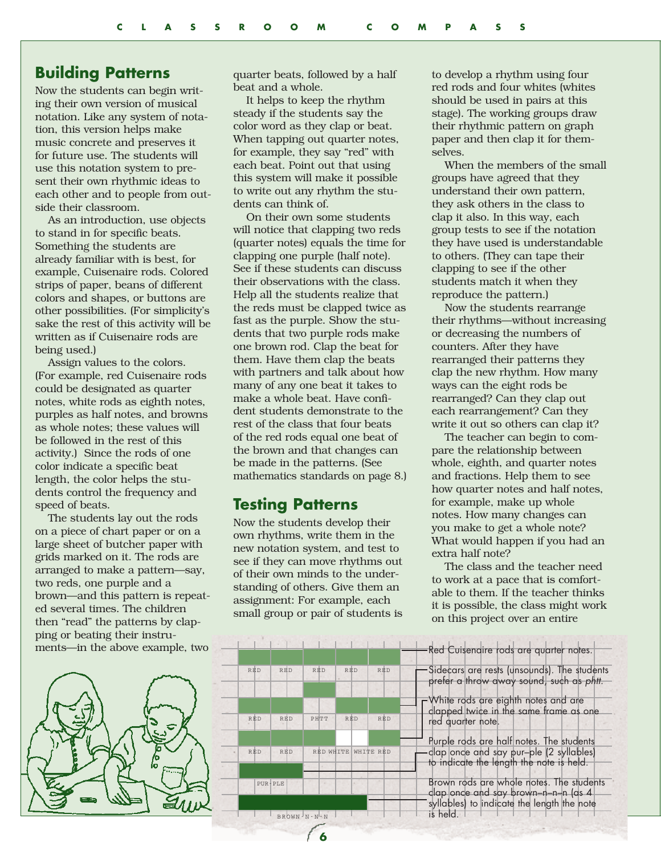#### **Building Patterns**

Now the students can begin writing their own version of musical notation. Like any system of notation, this version helps make music concrete and preserves it for future use. The students will use this notation system to present their own rhythmic ideas to each other and to people from outside their classroom.

As an introduction, use objects to stand in for specific beats. Something the students are already familiar with is best, for example, Cuisenaire rods. Colored strips of paper, beans of different colors and shapes, or buttons are other possibilities. (For simplicity's sake the rest of this activity will be written as if Cuisenaire rods are being used.)

Assign values to the colors. (For example, red Cuisenaire rods could be designated as quarter notes, white rods as eighth notes, purples as half notes, and browns as whole notes; these values will be followed in the rest of this activity.) Since the rods of one color indicate a specific beat length, the color helps the students control the frequency and speed of beats.

The students lay out the rods on a piece of chart paper or on a large sheet of butcher paper with grids marked on it. The rods are arranged to make a pattern—say, two reds, one purple and a brown—and this pattern is repeated several times. The children then "read" the patterns by clapping or beating their instruments—in the above example, two



quarter beats, followed by a half beat and a whole.

It helps to keep the rhythm steady if the students say the color word as they clap or beat. When tapping out quarter notes, for example, they say "red" with each beat. Point out that using this system will make it possible to write out any rhythm the students can think of.

On their own some students will notice that clapping two reds (quarter notes) equals the time for clapping one purple (half note). See if these students can discuss their observations with the class. Help all the students realize that the reds must be clapped twice as fast as the purple. Show the students that two purple rods make one brown rod. Clap the beat for them. Have them clap the beats with partners and talk about how many of any one beat it takes to make a whole beat. Have confident students demonstrate to the rest of the class that four beats of the red rods equal one beat of the brown and that changes can be made in the patterns. (See mathematics standards on page 8.)

#### **Testing Patterns**

Now the students develop their own rhythms, write them in the new notation system, and test to see if they can move rhythms out of their own minds to the understanding of others. Give them an assignment: For example, each small group or pair of students is



to develop a rhythm using four red rods and four whites (whites should be used in pairs at this stage). The working groups draw their rhythmic pattern on graph paper and then clap it for themselves.

When the members of the small groups have agreed that they understand their own pattern, they ask others in the class to clap it also. In this way, each group tests to see if the notation they have used is understandable to others. (They can tape their clapping to see if the other students match it when they reproduce the pattern.)

Now the students rearrange their rhythms—without increasing or decreasing the numbers of counters. After they have rearranged their patterns they clap the new rhythm. How many ways can the eight rods be rearranged? Can they clap out each rearrangement? Can they write it out so others can clap it?

The teacher can begin to compare the relationship between whole, eighth, and quarter notes and fractions. Help them to see how quarter notes and half notes, for example, make up whole notes. How many changes can you make to get a whole note? What would happen if you had an extra half note?

The class and the teacher need to work at a pace that is comfortable to them. If the teacher thinks it is possible, the class might work on this project over an entire

| Red Cuisenaire rods are quarter notes.                                                                                                    |
|-------------------------------------------------------------------------------------------------------------------------------------------|
| Sidecars are rests (unsounds). The students<br>prefer a throw away sound, such as phtt.                                                   |
| White rods are eighth notes and are<br>clapped twice in the same frame as one<br>red quarter note.                                        |
| Purple rods are half notes. The students<br>clap once and say pur-ple (2 syllables)<br>to indicate the length the note is held.           |
| Brown rods are whole notes. The students<br>clap once and say brown-n-n-n (as 4<br>syllables) to indicate the length the note<br>is held. |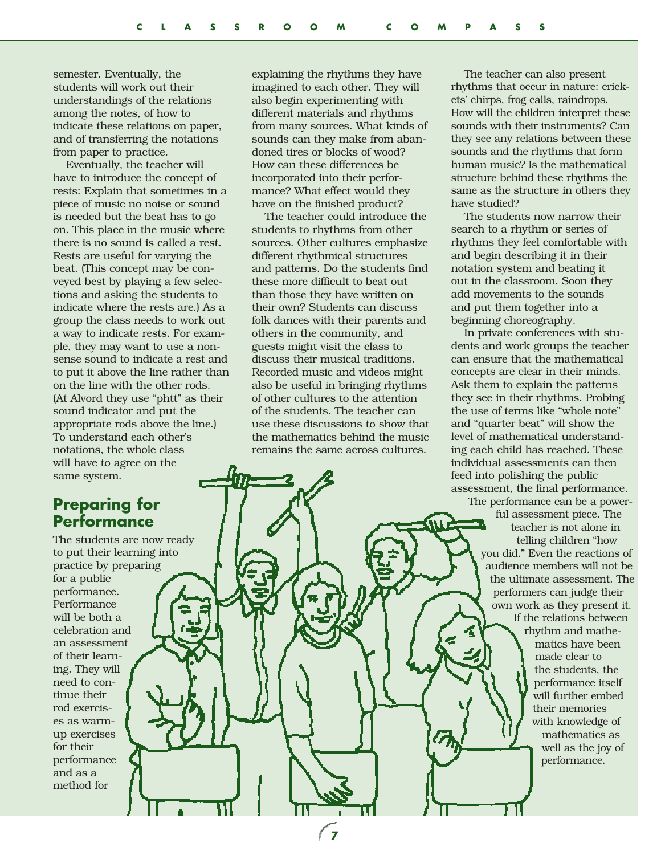semester. Eventually, the students will work out their understandings of the relations among the notes, of how to indicate these relations on paper, and of transferring the notations from paper to practice.

Eventually, the teacher will have to introduce the concept of rests: Explain that sometimes in a piece of music no noise or sound is needed but the beat has to go on. This place in the music where there is no sound is called a rest. Rests are useful for varying the beat. (This concept may be conveyed best by playing a few selections and asking the students to indicate where the rests are.) As a group the class needs to work out a way to indicate rests. For example, they may want to use a nonsense sound to indicate a rest and to put it above the line rather than on the line with the other rods. (At Alvord they use "phtt" as their sound indicator and put the appropriate rods above the line.) To understand each other's notations, the whole class will have to agree on the same system.

#### **Preparing for Performance**

The students are now ready to put their learning into practice by preparing for a public performance. Performance will be both a celebration and an assessment of their learning. They will need to continue their rod exercises as warmup exercises for their performance and as a method for

explaining the rhythms they have imagined to each other. They will also begin experimenting with different materials and rhythms from many sources. What kinds of sounds can they make from abandoned tires or blocks of wood? How can these differences be incorporated into their performance? What effect would they have on the finished product?

The teacher could introduce the students to rhythms from other sources. Other cultures emphasize different rhythmical structures and patterns. Do the students find these more difficult to beat out than those they have written on their own? Students can discuss folk dances with their parents and others in the community, and guests might visit the class to discuss their musical traditions. Recorded music and videos might also be useful in bringing rhythms of other cultures to the attention of the students. The teacher can use these discussions to show that the mathematics behind the music remains the same across cultures.

**7**

The teacher can also present rhythms that occur in nature: crickets' chirps, frog calls, raindrops. How will the children interpret these sounds with their instruments? Can they see any relations between these sounds and the rhythms that form human music? Is the mathematical structure behind these rhythms the same as the structure in others they have studied?

The students now narrow their search to a rhythm or series of rhythms they feel comfortable with and begin describing it in their notation system and beating it out in the classroom. Soon they add movements to the sounds and put them together into a beginning choreography.

In private conferences with students and work groups the teacher can ensure that the mathematical concepts are clear in their minds. Ask them to explain the patterns they see in their rhythms. Probing the use of terms like "whole note" and "quarter beat" will show the level of mathematical understanding each child has reached. These individual assessments can then feed into polishing the public assessment, the final performance. The performance can be a power-

> ful assessment piece. The teacher is not alone in telling children "how you did." Even the reactions of audience members will not be the ultimate assessment. The performers can judge their own work as they present it. If the relations between rhythm and mathematics have been made clear to the students, the performance itself will further embed their memories with knowledge of mathematics as well as the joy of performance.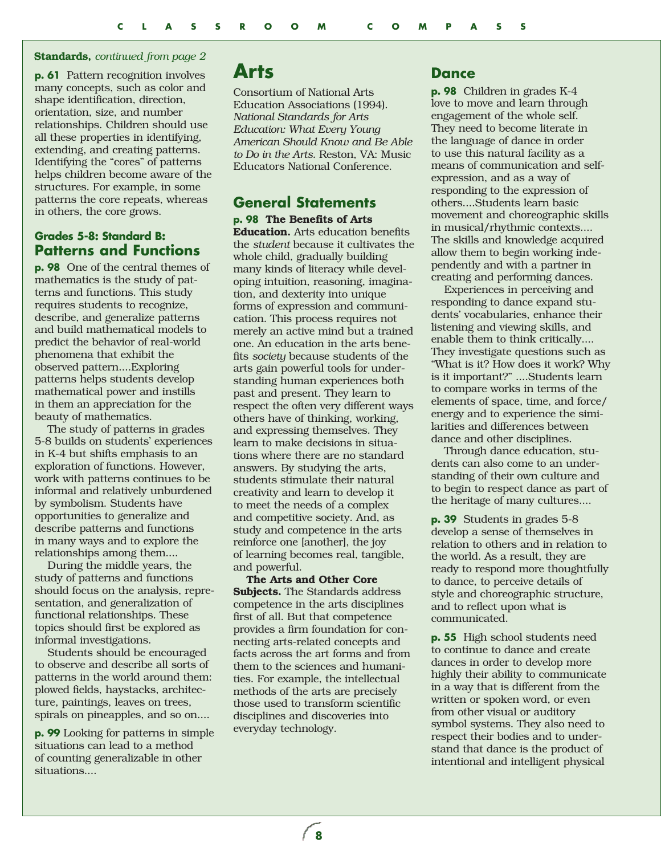#### **Standards,** *continued from page 2*

**p. 61** Pattern recognition involves many concepts, such as color and shape identification, direction, orientation, size, and number relationships. Children should use all these properties in identifying, extending, and creating patterns. Identifying the "cores" of patterns helps children become aware of the structures. For example, in some patterns the core repeats, whereas in others, the core grows.

#### **Grades 5-8: Standard B: Patterns and Functions**

**p. 98** One of the central themes of mathematics is the study of patterns and functions. This study requires students to recognize, describe, and generalize patterns and build mathematical models to predict the behavior of real-world phenomena that exhibit the observed pattern....Exploring patterns helps students develop mathematical power and instills in them an appreciation for the beauty of mathematics.

The study of patterns in grades 5-8 builds on students' experiences in K-4 but shifts emphasis to an exploration of functions. However, work with patterns continues to be informal and relatively unburdened by symbolism. Students have opportunities to generalize and describe patterns and functions in many ways and to explore the relationships among them....

During the middle years, the study of patterns and functions should focus on the analysis, representation, and generalization of functional relationships. These topics should first be explored as informal investigations.

Students should be encouraged to observe and describe all sorts of patterns in the world around them: plowed fields, haystacks, architecture, paintings, leaves on trees, spirals on pineapples, and so on....

**p. 99** Looking for patterns in simple situations can lead to a method of counting generalizable in other situations....

#### **Arts**

Consortium of National Arts Education Associations (1994). *National Standards for Arts Education: What Every Young American Should Know and Be Able to Do in the Arts.* Reston, VA: Music Educators National Conference.

#### **General Statements**

**p. 98 The Benefits of Arts Education.** Arts education benefits the *student* because it cultivates the whole child, gradually building many kinds of literacy while developing intuition, reasoning, imagination, and dexterity into unique forms of expression and communication. This process requires not merely an active mind but a trained one. An education in the arts benefits *society* because students of the arts gain powerful tools for understanding human experiences both past and present. They learn to respect the often very different ways others have of thinking, working, and expressing themselves. They learn to make decisions in situations where there are no standard answers. By studying the arts, students stimulate their natural creativity and learn to develop it to meet the needs of a complex and competitive society. And, as study and competence in the arts reinforce one [another], the joy of learning becomes real, tangible, and powerful.

**The Arts and Other Core Subjects.** The Standards address competence in the arts disciplines first of all. But that competence provides a firm foundation for connecting arts-related concepts and facts across the art forms and from them to the sciences and humanities. For example, the intellectual methods of the arts are precisely those used to transform scientific disciplines and discoveries into everyday technology.

#### **Dance**

**p. 98** Children in grades K-4 love to move and learn through engagement of the whole self. They need to become literate in the language of dance in order to use this natural facility as a means of communication and selfexpression, and as a way of responding to the expression of others....Students learn basic movement and choreographic skills in musical/rhythmic contexts.... The skills and knowledge acquired allow them to begin working independently and with a partner in creating and performing dances.

Experiences in perceiving and responding to dance expand students' vocabularies, enhance their listening and viewing skills, and enable them to think critically.... They investigate questions such as "What is it? How does it work? Why is it important?" ....Students learn to compare works in terms of the elements of space, time, and force/ energy and to experience the similarities and differences between dance and other disciplines.

Through dance education, students can also come to an understanding of their own culture and to begin to respect dance as part of the heritage of many cultures....

**p. 39** Students in grades 5-8 develop a sense of themselves in relation to others and in relation to the world. As a result, they are ready to respond more thoughtfully to dance, to perceive details of style and choreographic structure, and to reflect upon what is communicated.

**p. 55** High school students need to continue to dance and create dances in order to develop more highly their ability to communicate in a way that is different from the written or spoken word, or even from other visual or auditory symbol systems. They also need to respect their bodies and to understand that dance is the product of intentional and intelligent physical

**8**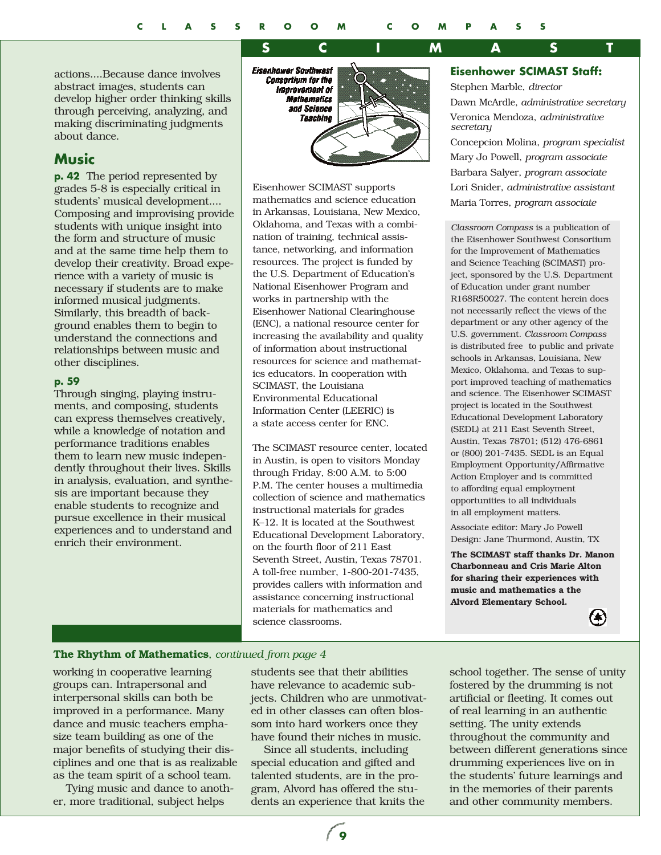actions....Because dance involves abstract images, students can develop higher order thinking skills through perceiving, analyzing, and making discriminating judgments about dance.

#### **Music**

**p. 42** The period represented by grades 5-8 is especially critical in students' musical development.... Composing and improvising provide students with unique insight into the form and structure of music and at the same time help them to develop their creativity. Broad experience with a variety of music is necessary if students are to make informed musical judgments. Similarly, this breadth of background enables them to begin to understand the connections and relationships between music and other disciplines.

#### **p. 59**

Through singing, playing instruments, and composing, students can express themselves creatively, while a knowledge of notation and performance traditions enables them to learn new music independently throughout their lives. Skills in analysis, evaluation, and synthesis are important because they enable students to recognize and pursue excellence in their musical experiences and to understand and enrich their environment.

**Eisenhower Southwest Consortium for the Improvement** of **Mathematics** and Science **Teaching** 

Eisenhower SCIMAST supports mathematics and science education in Arkansas, Louisiana, New Mexico, Oklahoma, and Texas with a combination of training, technical assistance, networking, and information resources. The project is funded by the U.S. Department of Education's National Eisenhower Program and works in partnership with the Eisenhower National Clearinghouse (ENC), a national resource center for increasing the availability and quality of information about instructional resources for science and mathematics educators. In cooperation with SCIMAST, the Louisiana Environmental Educational Information Center (LEERIC) is a state access center for ENC.

The SCIMAST resource center, located in Austin, is open to visitors Monday through Friday, 8:00 A.M. to 5:00 P.M. The center houses a multimedia collection of science and mathematics instructional materials for grades K–12. It is located at the Southwest Educational Development Laboratory, on the fourth floor of 211 East Seventh Street, Austin, Texas 78701. A toll-free number, 1-800-201-7435, provides callers with information and assistance concerning instructional materials for mathematics and science classrooms.

#### **Eisenhower SCIMAST Staff:**

**S C I M A S T**

Stephen Marble, *director* Dawn McArdle, *administrative secretary* Veronica Mendoza, *administrative secretary*

Concepcion Molina, *program specialist* Mary Jo Powell, *program associate* Barbara Salyer, *program associate* Lori Snider, *administrative assistant* Maria Torres, *program associate*

*Classroom Compass* is a publication of the Eisenhower Southwest Consortium for the Improvement of Mathematics and Science Teaching (SCIMAST) project, sponsored by the U.S. Department of Education under grant number R168R50027. The content herein does not necessarily reflect the views of the department or any other agency of the U.S. government. *Classroom Compass* is distributed free to public and private schools in Arkansas, Louisiana, New Mexico, Oklahoma, and Texas to support improved teaching of mathematics and science. The Eisenhower SCIMAST project is located in the Southwest Educational Development Laboratory (SEDL) at 211 East Seventh Street, Austin, Texas 78701; (512) 476-6861 or (800) 201-7435. SEDL is an Equal Employment Opportunity/Affirmative Action Employer and is committed to affording equal employment opportunities to all individuals in all employment matters.

Associate editor: Mary Jo Powell Design: Jane Thurmond, Austin, TX

**The SCIMAST staff thanks Dr. Manon Charbonneau and Cris Marie Alton for sharing their experiences with music and mathematics a the Alvord Elementary School.**

#### **The Rhythm of Mathematics**, *continued from page 4*

working in cooperative learning groups can. Intrapersonal and interpersonal skills can both be improved in a performance. Many dance and music teachers emphasize team building as one of the major benefits of studying their disciplines and one that is as realizable as the team spirit of a school team.

Tying music and dance to another, more traditional, subject helps

students see that their abilities have relevance to academic subjects. Children who are unmotivated in other classes can often blossom into hard workers once they have found their niches in music.

Since all students, including special education and gifted and talented students, are in the program, Alvord has offered the students an experience that knits the school together. The sense of unity fostered by the drumming is not artificial or fleeting. It comes out of real learning in an authentic setting. The unity extends throughout the community and between different generations since drumming experiences live on in the students' future learnings and in the memories of their parents and other community members.